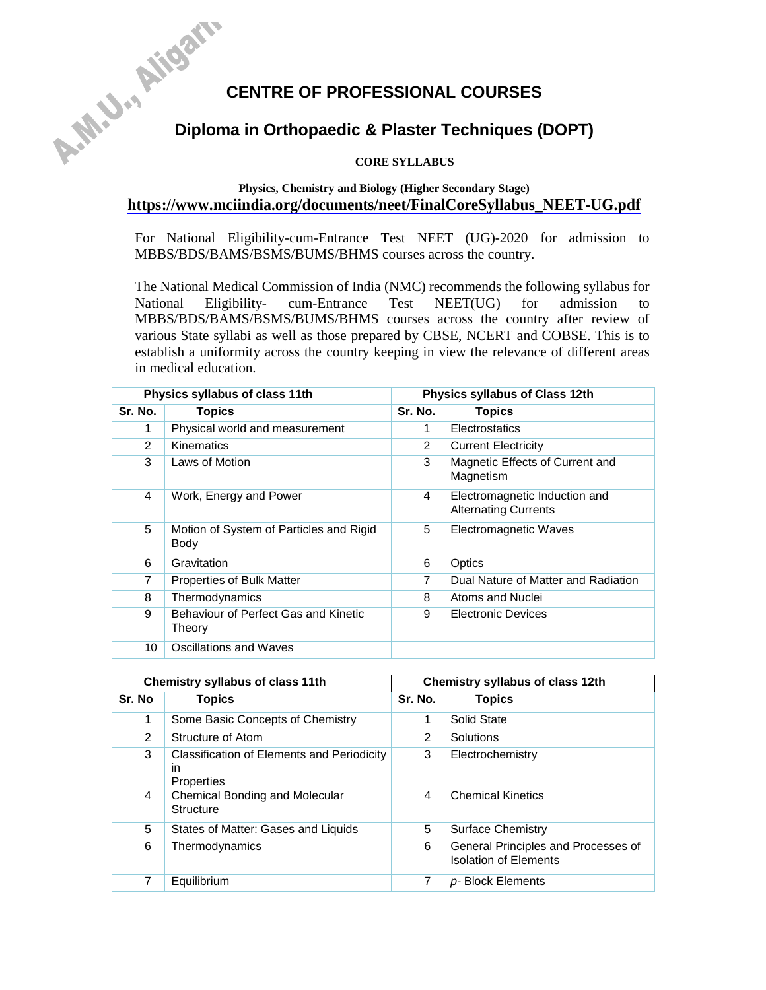# **CENTRE OF PROFESSIONAL COURSES**<br>Diploma in Orthopaedic . ... **Diploma in Orthopaedic & Plaster Techniques (DOPT)**

# **CORE SYLLABUS**

# **Physics, Chemistry and Biology (Higher Secondary Stage) [https://www.mciindia.org/documents/neet/FinalCoreSyllabus\\_NEET-UG.pdf](https://www.mciindia.org/documents/neet/FinalCoreSyllabus_NEET-UG.pdf)**

For National Eligibility-cum-Entrance Test NEET (UG)-2020 for admission to MBBS/BDS/BAMS/BSMS/BUMS/BHMS courses across the country.

The National Medical Commission of India (NMC) recommends the following syllabus for National Eligibility- cum-Entrance Test NEET(UG) for admission to MBBS/BDS/BAMS/BSMS/BUMS/BHMS courses across the country after review of various State syllabi as well as those prepared by CBSE, NCERT and COBSE. This is to establish a uniformity across the country keeping in view the relevance of different areas in medical education.

|               | Physics syllabus of class 11th                  |               | Physics syllabus of Class 12th                               |
|---------------|-------------------------------------------------|---------------|--------------------------------------------------------------|
| Sr. No.       | <b>Topics</b>                                   | Sr. No.       | Topics                                                       |
| 1             | Physical world and measurement                  | 1             | Electrostatics                                               |
| $\mathcal{P}$ | Kinematics                                      | $\mathcal{P}$ | <b>Current Electricity</b>                                   |
| 3             | Laws of Motion                                  | 3             | Magnetic Effects of Current and<br>Magnetism                 |
| 4             | Work, Energy and Power                          | 4             | Electromagnetic Induction and<br><b>Alternating Currents</b> |
| 5             | Motion of System of Particles and Rigid<br>Body | 5             | Electromagnetic Waves                                        |
| 6             | Gravitation                                     | 6             | Optics                                                       |
| 7             | <b>Properties of Bulk Matter</b>                | 7             | Dual Nature of Matter and Radiation                          |
| 8             | Thermodynamics                                  | 8             | Atoms and Nuclei                                             |
| 9             | Behaviour of Perfect Gas and Kinetic<br>Theory  | 9             | <b>Electronic Devices</b>                                    |
| 10            | Oscillations and Waves                          |               |                                                              |

|                | Chemistry syllabus of class 11th                               |         | Chemistry syllabus of class 12th                                    |
|----------------|----------------------------------------------------------------|---------|---------------------------------------------------------------------|
| Sr. No         | <b>Topics</b>                                                  | Sr. No. | <b>Topics</b>                                                       |
| 1              | Some Basic Concepts of Chemistry                               | 1       | Solid State                                                         |
| 2              | Structure of Atom                                              | 2       | Solutions                                                           |
| 3              | Classification of Elements and Periodicity<br>in<br>Properties | 3       | Electrochemistry                                                    |
| 4              | Chemical Bonding and Molecular<br>Structure                    | 4       | <b>Chemical Kinetics</b>                                            |
| 5              | States of Matter: Gases and Liquids                            | 5       | Surface Chemistry                                                   |
| 6              | Thermodynamics                                                 | 6       | General Principles and Processes of<br><b>Isolation of Elements</b> |
| $\overline{7}$ | Equilibrium                                                    | 7       | p-Block Elements                                                    |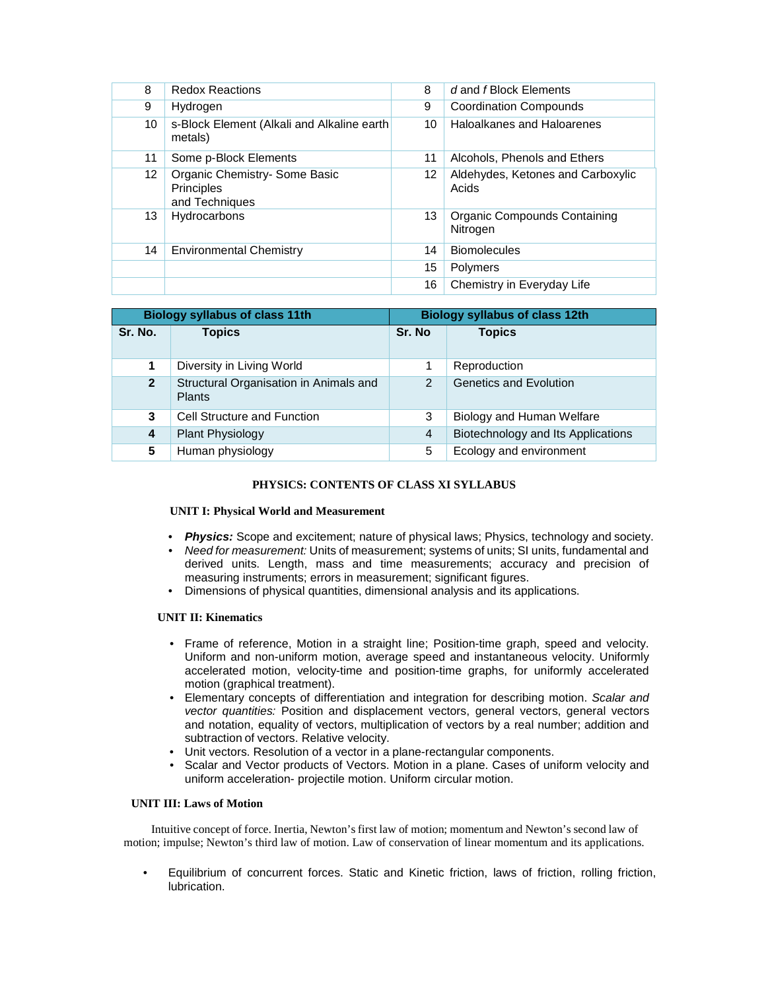| 8  | <b>Redox Reactions</b>                                               | 8  | d and f Block Elements                     |
|----|----------------------------------------------------------------------|----|--------------------------------------------|
| 9  | Hydrogen                                                             | 9  | <b>Coordination Compounds</b>              |
| 10 | s-Block Element (Alkali and Alkaline earth<br>metals)                | 10 | Haloalkanes and Haloarenes                 |
| 11 | Some p-Block Elements                                                | 11 | Alcohols, Phenols and Ethers               |
| 12 | Organic Chemistry- Some Basic<br><b>Principles</b><br>and Techniques | 12 | Aldehydes, Ketones and Carboxylic<br>Acids |
| 13 | Hydrocarbons                                                         | 13 | Organic Compounds Containing<br>Nitrogen   |
| 14 | <b>Environmental Chemistry</b>                                       | 14 | <b>Biomolecules</b>                        |
|    |                                                                      | 15 | Polymers                                   |
|    |                                                                      | 16 | Chemistry in Everyday Life                 |

|                | <b>Biology syllabus of class 11th</b>                   |                | <b>Biology syllabus of class 12th</b> |
|----------------|---------------------------------------------------------|----------------|---------------------------------------|
| Sr. No.        | <b>Topics</b>                                           | Sr. No         | <b>Topics</b>                         |
| 1              | Diversity in Living World                               | 1              | Reproduction                          |
| $\overline{2}$ | Structural Organisation in Animals and<br><b>Plants</b> | $\overline{2}$ | <b>Genetics and Evolution</b>         |
| 3              | Cell Structure and Function                             | 3              | Biology and Human Welfare             |
| 4              | <b>Plant Physiology</b>                                 | 4              | Biotechnology and Its Applications    |
| 5              | Human physiology                                        | 5              | Ecology and environment               |

# **PHYSICS: CONTENTS OF CLASS XI SYLLABUS**

#### **UNIT I: Physical World and Measurement**

- *Physics:* Scope and excitement; nature of physical laws; Physics, technology and society.
- *Need for measurement:* Units of measurement; systems of units; SI units, fundamental and derived units. Length, mass and time measurements; accuracy and precision of measuring instruments; errors in measurement; significant figures.
- Dimensions of physical quantities, dimensional analysis and its applications.

# **UNIT II: Kinematics**

- Frame of reference, Motion in a straight line; Position-time graph, speed and velocity. Uniform and non-uniform motion, average speed and instantaneous velocity. Uniformly accelerated motion, velocity-time and position-time graphs, for uniformly accelerated motion (graphical treatment).
- Elementary concepts of differentiation and integration for describing motion. *Scalar and vector quantities:* Position and displacement vectors, general vectors, general vectors and notation, equality of vectors, multiplication of vectors by a real number; addition and subtraction of vectors. Relative velocity.
- Unit vectors. Resolution of a vector in a plane-rectangular components.
- Scalar and Vector products of Vectors. Motion in a plane. Cases of uniform velocity and uniform acceleration- projectile motion. Uniform circular motion.

# **UNIT III: Laws of Motion**

Intuitive concept of force. Inertia, Newton's first law of motion; momentum and Newton's second law of motion; impulse; Newton's third law of motion. Law of conservation of linear momentum and its applications.

• Equilibrium of concurrent forces. Static and Kinetic friction, laws of friction, rolling friction, lubrication.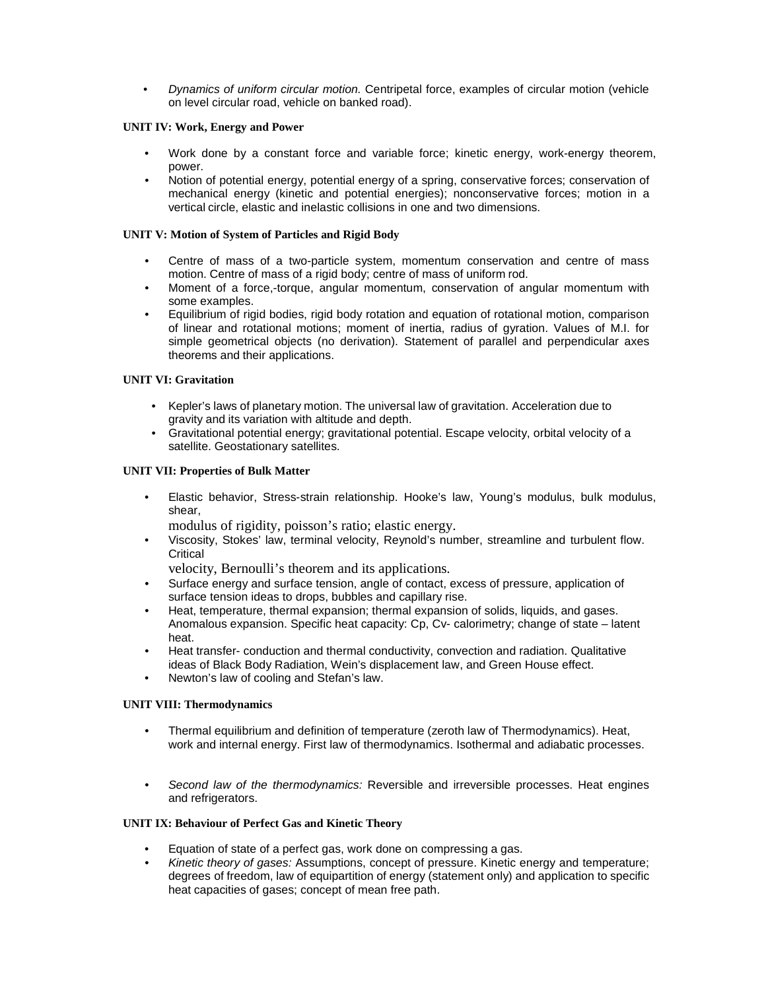• *Dynamics of uniform circular motion.* Centripetal force, examples of circular motion (vehicle on level circular road, vehicle on banked road).

# **UNIT IV: Work, Energy and Power**

- Work done by a constant force and variable force; kinetic energy, work-energy theorem, power.
- Notion of potential energy, potential energy of a spring, conservative forces; conservation of mechanical energy (kinetic and potential energies); nonconservative forces; motion in a vertical circle, elastic and inelastic collisions in one and two dimensions.

## **UNIT V: Motion of System of Particles and Rigid Body**

- Centre of mass of a two-particle system, momentum conservation and centre of mass motion. Centre of mass of a rigid body; centre of mass of uniform rod.
- Moment of a force,-torque, angular momentum, conservation of angular momentum with some examples.
- Equilibrium of rigid bodies, rigid body rotation and equation of rotational motion, comparison of linear and rotational motions; moment of inertia, radius of gyration. Values of M.I. for simple geometrical objects (no derivation). Statement of parallel and perpendicular axes theorems and their applications.

## **UNIT VI: Gravitation**

- Kepler's laws of planetary motion. The universal law of gravitation. Acceleration due to gravity and its variation with altitude and depth.
- Gravitational potential energy; gravitational potential. Escape velocity, orbital velocity of a satellite. Geostationary satellites.

## **UNIT VII: Properties of Bulk Matter**

• Elastic behavior, Stress-strain relationship. Hooke's law, Young's modulus, bulk modulus, shear,

modulus of rigidity, poisson's ratio; elastic energy.

• Viscosity, Stokes' law, terminal velocity, Reynold's number, streamline and turbulent flow. **Critical** 

velocity, Bernoulli's theorem and its applications.

- Surface energy and surface tension, angle of contact, excess of pressure, application of surface tension ideas to drops, bubbles and capillary rise.
- Heat, temperature, thermal expansion; thermal expansion of solids, liquids, and gases. Anomalous expansion. Specific heat capacity: Cp, Cv- calorimetry; change of state – latent heat.
- Heat transfer- conduction and thermal conductivity, convection and radiation. Qualitative ideas of Black Body Radiation, Wein's displacement law, and Green House effect.
- Newton's law of cooling and Stefan's law.

#### **UNIT VIII: Thermodynamics**

- Thermal equilibrium and definition of temperature (zeroth law of Thermodynamics). Heat, work and internal energy. First law of thermodynamics. Isothermal and adiabatic processes.
- *Second law of the thermodynamics:* Reversible and irreversible processes. Heat engines and refrigerators.

#### **UNIT IX: Behaviour of Perfect Gas and Kinetic Theory**

- Equation of state of a perfect gas, work done on compressing a gas.
- *Kinetic theory of gases:* Assumptions, concept of pressure. Kinetic energy and temperature; degrees of freedom, law of equipartition of energy (statement only) and application to specific heat capacities of gases; concept of mean free path.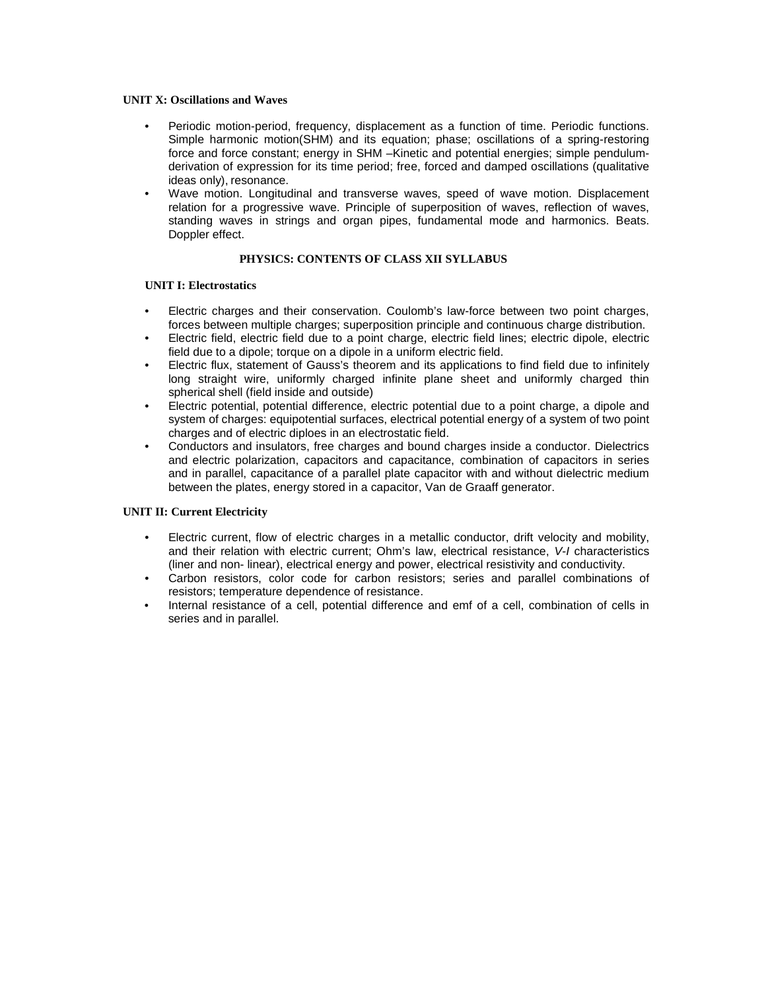#### **UNIT X: Oscillations and Waves**

- Periodic motion-period, frequency, displacement as a function of time. Periodic functions. Simple harmonic motion(SHM) and its equation; phase; oscillations of a spring-restoring force and force constant; energy in SHM –Kinetic and potential energies; simple pendulumderivation of expression for its time period; free, forced and damped oscillations (qualitative ideas only), resonance.
- Wave motion. Longitudinal and transverse waves, speed of wave motion. Displacement relation for a progressive wave. Principle of superposition of waves, reflection of waves, standing waves in strings and organ pipes, fundamental mode and harmonics. Beats. Doppler effect.

# **PHYSICS: CONTENTS OF CLASS XII SYLLABUS**

#### **UNIT I: Electrostatics**

- Electric charges and their conservation. Coulomb's law-force between two point charges, forces between multiple charges; superposition principle and continuous charge distribution.
- Electric field, electric field due to a point charge, electric field lines; electric dipole, electric field due to a dipole; torque on a dipole in a uniform electric field.
- Electric flux, statement of Gauss's theorem and its applications to find field due to infinitely long straight wire, uniformly charged infinite plane sheet and uniformly charged thin spherical shell (field inside and outside)
- Electric potential, potential difference, electric potential due to a point charge, a dipole and system of charges: equipotential surfaces, electrical potential energy of a system of two point charges and of electric diploes in an electrostatic field.
- Conductors and insulators, free charges and bound charges inside a conductor. Dielectrics and electric polarization, capacitors and capacitance, combination of capacitors in series and in parallel, capacitance of a parallel plate capacitor with and without dielectric medium between the plates, energy stored in a capacitor, Van de Graaff generator.

#### **UNIT II: Current Electricity**

- Electric current, flow of electric charges in a metallic conductor, drift velocity and mobility, and their relation with electric current; Ohm's law, electrical resistance, *V-I* characteristics (liner and non- linear), electrical energy and power, electrical resistivity and conductivity.
- Carbon resistors, color code for carbon resistors; series and parallel combinations of resistors; temperature dependence of resistance.
- Internal resistance of a cell, potential difference and emf of a cell, combination of cells in series and in parallel.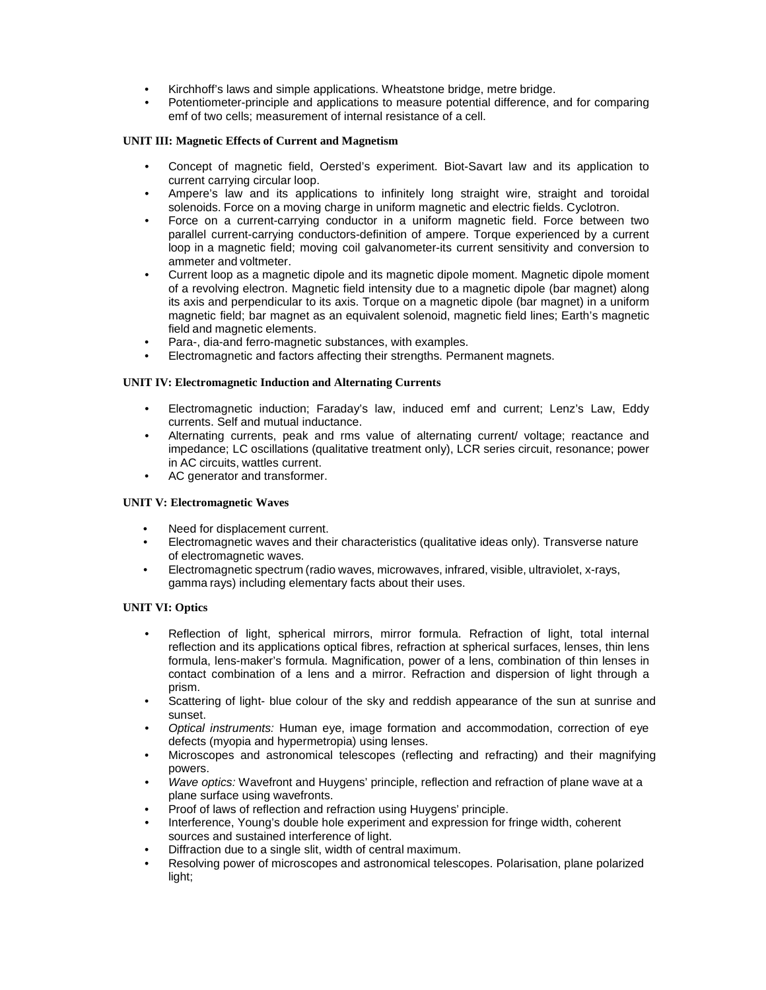- Kirchhoff's laws and simple applications. Wheatstone bridge, metre bridge.
- Potentiometer-principle and applications to measure potential difference, and for comparing emf of two cells; measurement of internal resistance of a cell.

#### **UNIT III: Magnetic Effects of Current and Magnetism**

- Concept of magnetic field, Oersted's experiment. Biot-Savart law and its application to current carrying circular loop.
- Ampere's law and its applications to infinitely long straight wire, straight and toroidal solenoids. Force on a moving charge in uniform magnetic and electric fields. Cyclotron.
- Force on a current-carrying conductor in a uniform magnetic field. Force between two parallel current-carrying conductors-definition of ampere. Torque experienced by a current loop in a magnetic field; moving coil galvanometer-its current sensitivity and conversion to ammeter and voltmeter.
- Current loop as a magnetic dipole and its magnetic dipole moment. Magnetic dipole moment of a revolving electron. Magnetic field intensity due to a magnetic dipole (bar magnet) along its axis and perpendicular to its axis. Torque on a magnetic dipole (bar magnet) in a uniform magnetic field; bar magnet as an equivalent solenoid, magnetic field lines; Earth's magnetic field and magnetic elements.
- Para-, dia-and ferro-magnetic substances, with examples.
- Electromagnetic and factors affecting their strengths. Permanent magnets.

## **UNIT IV: Electromagnetic Induction and Alternating Currents**

- Electromagnetic induction; Faraday's law, induced emf and current; Lenz's Law, Eddy currents. Self and mutual inductance.
- Alternating currents, peak and rms value of alternating current/ voltage; reactance and impedance; LC oscillations (qualitative treatment only), LCR series circuit, resonance; power in AC circuits, wattles current.
- AC generator and transformer.

# **UNIT V: Electromagnetic Waves**

- Need for displacement current.
- Electromagnetic waves and their characteristics (qualitative ideas only). Transverse nature of electromagnetic waves.
- Electromagnetic spectrum (radio waves, microwaves, infrared, visible, ultraviolet, x-rays, gamma rays) including elementary facts about their uses.

# **UNIT VI: Optics**

- Reflection of light, spherical mirrors, mirror formula. Refraction of light, total internal reflection and its applications optical fibres, refraction at spherical surfaces, lenses, thin lens formula, lens-maker's formula. Magnification, power of a lens, combination of thin lenses in contact combination of a lens and a mirror. Refraction and dispersion of light through a prism.
- Scattering of light- blue colour of the sky and reddish appearance of the sun at sunrise and sunset.
- *Optical instruments:* Human eye, image formation and accommodation, correction of eye defects (myopia and hypermetropia) using lenses.
- Microscopes and astronomical telescopes (reflecting and refracting) and their magnifying powers.
- *Wave optics:* Wavefront and Huygens' principle, reflection and refraction of plane wave at a plane surface using wavefronts.
- Proof of laws of reflection and refraction using Huygens' principle.
- Interference, Young's double hole experiment and expression for fringe width, coherent sources and sustained interference of light.
- Diffraction due to a single slit, width of central maximum.
- Resolving power of microscopes and astronomical telescopes. Polarisation, plane polarized light;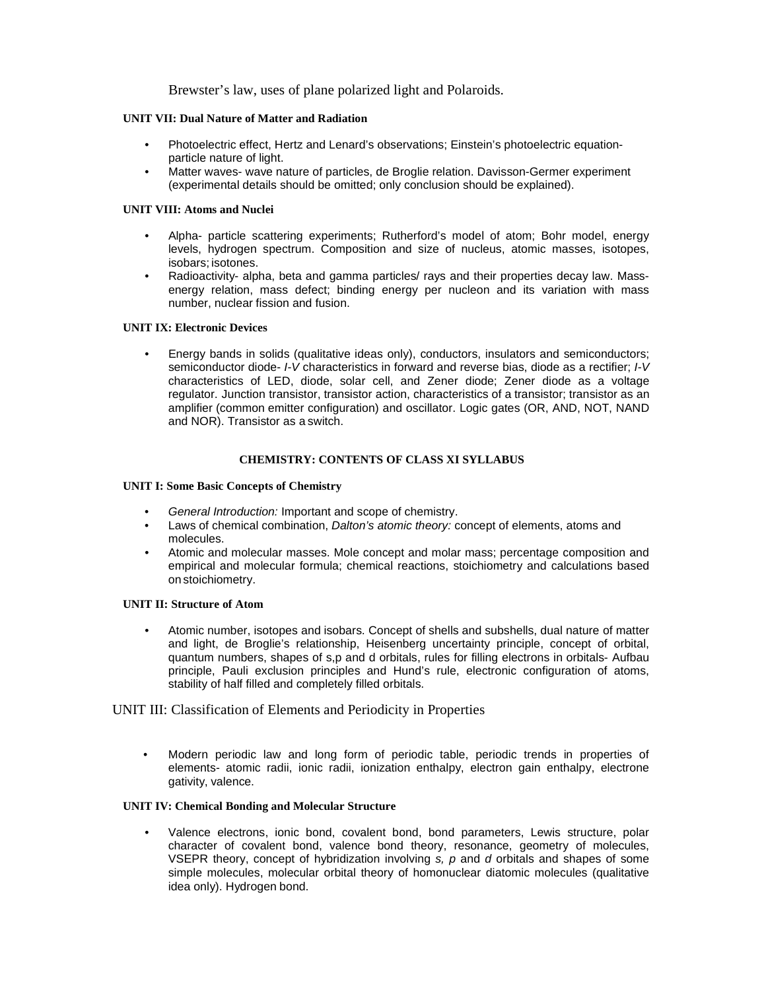Brewster's law, uses of plane polarized light and Polaroids.

#### **UNIT VII: Dual Nature of Matter and Radiation**

- Photoelectric effect, Hertz and Lenard's observations; Einstein's photoelectric equationparticle nature of light.
- Matter waves- wave nature of particles, de Broglie relation. Davisson-Germer experiment (experimental details should be omitted; only conclusion should be explained).

#### **UNIT VIII: Atoms and Nuclei**

- Alpha- particle scattering experiments; Rutherford's model of atom; Bohr model, energy levels, hydrogen spectrum. Composition and size of nucleus, atomic masses, isotopes, isobars; isotones.
- Radioactivity- alpha, beta and gamma particles/ rays and their properties decay law. Massenergy relation, mass defect; binding energy per nucleon and its variation with mass number, nuclear fission and fusion.

#### **UNIT IX: Electronic Devices**

• Energy bands in solids (qualitative ideas only), conductors, insulators and semiconductors; semiconductor diode- *I-V* characteristics in forward and reverse bias, diode as a rectifier; *I-V*  characteristics of LED, diode, solar cell, and Zener diode; Zener diode as a voltage regulator. Junction transistor, transistor action, characteristics of a transistor; transistor as an amplifier (common emitter configuration) and oscillator. Logic gates (OR, AND, NOT, NAND and NOR). Transistor as a switch.

#### **CHEMISTRY: CONTENTS OF CLASS XI SYLLABUS**

## **UNIT I: Some Basic Concepts of Chemistry**

- *General Introduction:* Important and scope of chemistry.
- Laws of chemical combination, *Dalton's atomic theory:* concept of elements, atoms and molecules.
- Atomic and molecular masses. Mole concept and molar mass; percentage composition and empirical and molecular formula; chemical reactions, stoichiometry and calculations based on stoichiometry.

#### **UNIT II: Structure of Atom**

• Atomic number, isotopes and isobars. Concept of shells and subshells, dual nature of matter and light, de Broglie's relationship, Heisenberg uncertainty principle, concept of orbital, quantum numbers, shapes of s,p and d orbitals, rules for filling electrons in orbitals- Aufbau principle, Pauli exclusion principles and Hund's rule, electronic configuration of atoms, stability of half filled and completely filled orbitals.

# UNIT III: Classification of Elements and Periodicity in Properties

• Modern periodic law and long form of periodic table, periodic trends in properties of elements- atomic radii, ionic radii, ionization enthalpy, electron gain enthalpy, electrone gativity, valence.

# **UNIT IV: Chemical Bonding and Molecular Structure**

• Valence electrons, ionic bond, covalent bond, bond parameters, Lewis structure, polar character of covalent bond, valence bond theory, resonance, geometry of molecules, VSEPR theory, concept of hybridization involving *s, p* and *d* orbitals and shapes of some simple molecules, molecular orbital theory of homonuclear diatomic molecules (qualitative idea only). Hydrogen bond.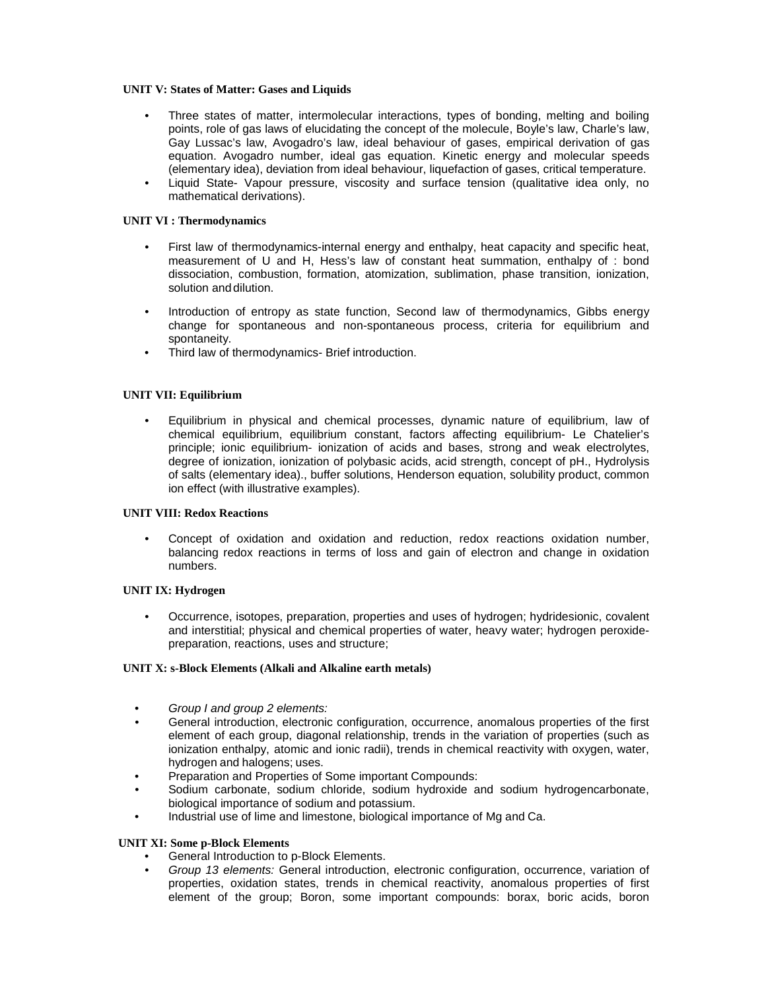#### **UNIT V: States of Matter: Gases and Liquids**

- Three states of matter, intermolecular interactions, types of bonding, melting and boiling points, role of gas laws of elucidating the concept of the molecule, Boyle's law, Charle's law, Gay Lussac's law, Avogadro's law, ideal behaviour of gases, empirical derivation of gas equation. Avogadro number, ideal gas equation. Kinetic energy and molecular speeds (elementary idea), deviation from ideal behaviour, liquefaction of gases, critical temperature.
- Liquid State- Vapour pressure, viscosity and surface tension (qualitative idea only, no mathematical derivations).

## **UNIT VI : Thermodynamics**

- First law of thermodynamics-internal energy and enthalpy, heat capacity and specific heat, measurement of U and H, Hess's law of constant heat summation, enthalpy of : bond dissociation, combustion, formation, atomization, sublimation, phase transition, ionization, solution anddilution.
- Introduction of entropy as state function, Second law of thermodynamics, Gibbs energy change for spontaneous and non-spontaneous process, criteria for equilibrium and spontaneity.
- Third law of thermodynamics- Brief introduction.

## **UNIT VII: Equilibrium**

• Equilibrium in physical and chemical processes, dynamic nature of equilibrium, law of chemical equilibrium, equilibrium constant, factors affecting equilibrium- Le Chatelier's principle; ionic equilibrium- ionization of acids and bases, strong and weak electrolytes, degree of ionization, ionization of polybasic acids, acid strength, concept of pH., Hydrolysis of salts (elementary idea)., buffer solutions, Henderson equation, solubility product, common ion effect (with illustrative examples).

# **UNIT VIII: Redox Reactions**

• Concept of oxidation and oxidation and reduction, redox reactions oxidation number, balancing redox reactions in terms of loss and gain of electron and change in oxidation numbers.

#### **UNIT IX: Hydrogen**

• Occurrence, isotopes, preparation, properties and uses of hydrogen; hydridesionic, covalent and interstitial; physical and chemical properties of water, heavy water; hydrogen peroxidepreparation, reactions, uses and structure;

#### **UNIT X: s-Block Elements (Alkali and Alkaline earth metals)**

- *Group I and group 2 elements:*
- General introduction, electronic configuration, occurrence, anomalous properties of the first element of each group, diagonal relationship, trends in the variation of properties (such as ionization enthalpy, atomic and ionic radii), trends in chemical reactivity with oxygen, water, hydrogen and halogens; uses.
- Preparation and Properties of Some important Compounds:
- Sodium carbonate, sodium chloride, sodium hydroxide and sodium hydrogencarbonate, biological importance of sodium and potassium.
- Industrial use of lime and limestone, biological importance of Mg and Ca.

#### **UNIT XI: Some p-Block Elements**

- General Introduction to p-Block Elements.
- *Group 13 elements:* General introduction, electronic configuration, occurrence, variation of properties, oxidation states, trends in chemical reactivity, anomalous properties of first element of the group; Boron, some important compounds: borax, boric acids, boron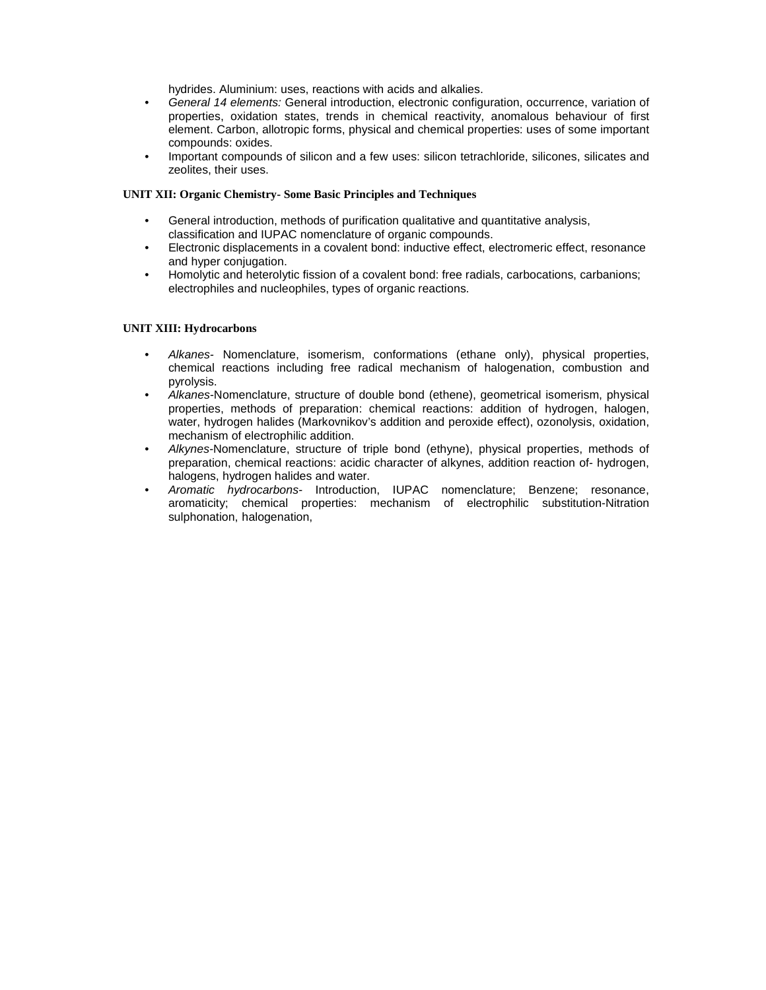hydrides. Aluminium: uses, reactions with acids and alkalies.

- *General 14 elements:* General introduction, electronic configuration, occurrence, variation of properties, oxidation states, trends in chemical reactivity, anomalous behaviour of first element. Carbon, allotropic forms, physical and chemical properties: uses of some important compounds: oxides.
- Important compounds of silicon and a few uses: silicon tetrachloride, silicones, silicates and zeolites, their uses.

#### **UNIT XII: Organic Chemistry- Some Basic Principles and Techniques**

- General introduction, methods of purification qualitative and quantitative analysis, classification and IUPAC nomenclature of organic compounds.
- Electronic displacements in a covalent bond: inductive effect, electromeric effect, resonance and hyper conjugation.
- Homolytic and heterolytic fission of a covalent bond: free radials, carbocations, carbanions; electrophiles and nucleophiles, types of organic reactions.

#### **UNIT XIII: Hydrocarbons**

- *Alkanes-* Nomenclature, isomerism, conformations (ethane only), physical properties, chemical reactions including free radical mechanism of halogenation, combustion and pyrolysis.
- *Alkanes-*Nomenclature, structure of double bond (ethene), geometrical isomerism, physical properties, methods of preparation: chemical reactions: addition of hydrogen, halogen, water, hydrogen halides (Markovnikov's addition and peroxide effect), ozonolysis, oxidation, mechanism of electrophilic addition.
- *Alkynes-*Nomenclature, structure of triple bond (ethyne), physical properties, methods of preparation, chemical reactions: acidic character of alkynes, addition reaction of- hydrogen, halogens, hydrogen halides and water.
- *Aromatic hydrocarbons-* Introduction, IUPAC nomenclature; Benzene; resonance, aromaticity; chemical properties: mechanism of electrophilic substitution-Nitration sulphonation, halogenation,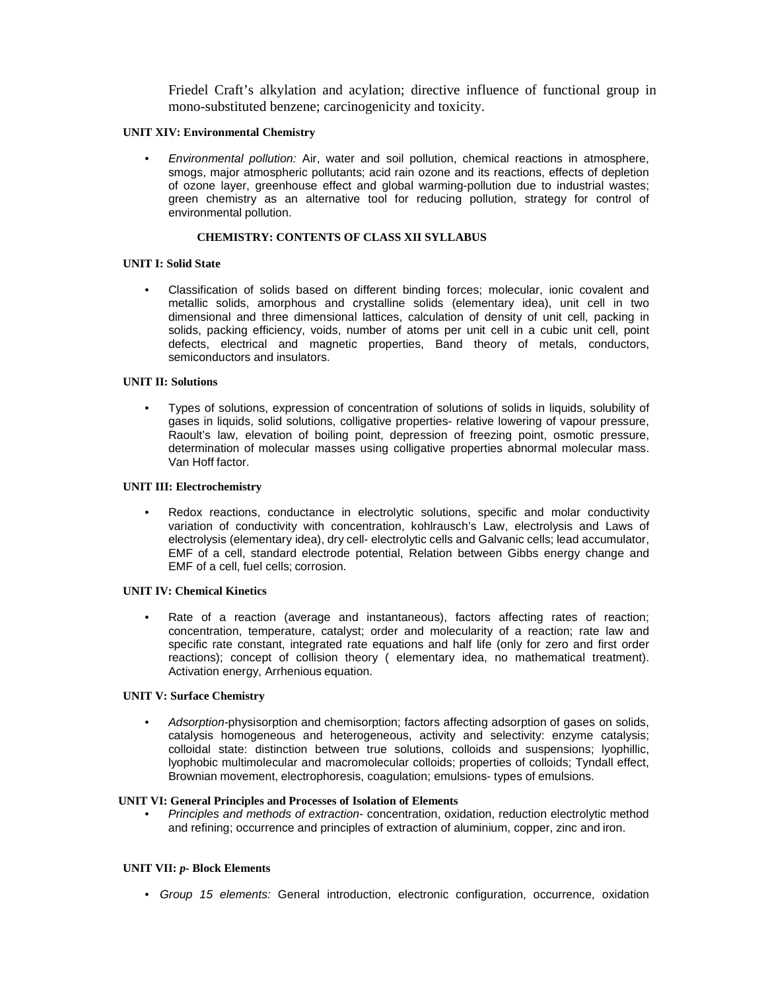Friedel Craft's alkylation and acylation; directive influence of functional group in mono-substituted benzene; carcinogenicity and toxicity.

### **UNIT XIV: Environmental Chemistry**

• *Environmental pollution:* Air, water and soil pollution, chemical reactions in atmosphere, smogs, major atmospheric pollutants; acid rain ozone and its reactions, effects of depletion of ozone layer, greenhouse effect and global warming-pollution due to industrial wastes; green chemistry as an alternative tool for reducing pollution, strategy for control of environmental pollution.

# **CHEMISTRY: CONTENTS OF CLASS XII SYLLABUS**

## **UNIT I: Solid State**

• Classification of solids based on different binding forces; molecular, ionic covalent and metallic solids, amorphous and crystalline solids (elementary idea), unit cell in two dimensional and three dimensional lattices, calculation of density of unit cell, packing in solids, packing efficiency, voids, number of atoms per unit cell in a cubic unit cell, point defects, electrical and magnetic properties, Band theory of metals, conductors, semiconductors and insulators.

#### **UNIT II: Solutions**

• Types of solutions, expression of concentration of solutions of solids in liquids, solubility of gases in liquids, solid solutions, colligative properties- relative lowering of vapour pressure, Raoult's law, elevation of boiling point, depression of freezing point, osmotic pressure, determination of molecular masses using colligative properties abnormal molecular mass. Van Hoff factor.

#### **UNIT III: Electrochemistry**

Redox reactions, conductance in electrolytic solutions, specific and molar conductivity variation of conductivity with concentration, kohlrausch's Law, electrolysis and Laws of electrolysis (elementary idea), dry cell- electrolytic cells and Galvanic cells; lead accumulator, EMF of a cell, standard electrode potential, Relation between Gibbs energy change and EMF of a cell, fuel cells; corrosion.

#### **UNIT IV: Chemical Kinetics**

Rate of a reaction (average and instantaneous), factors affecting rates of reaction; concentration, temperature, catalyst; order and molecularity of a reaction; rate law and specific rate constant, integrated rate equations and half life (only for zero and first order reactions); concept of collision theory ( elementary idea, no mathematical treatment). Activation energy, Arrhenious equation.

#### **UNIT V: Surface Chemistry**

• *Adsorption-*physisorption and chemisorption; factors affecting adsorption of gases on solids, catalysis homogeneous and heterogeneous, activity and selectivity: enzyme catalysis; colloidal state: distinction between true solutions, colloids and suspensions; lyophillic, lyophobic multimolecular and macromolecular colloids; properties of colloids; Tyndall effect, Brownian movement, electrophoresis, coagulation; emulsions- types of emulsions.

#### **UNIT VI: General Principles and Processes of Isolation of Elements**

• *Principles and methods of extraction-* concentration, oxidation, reduction electrolytic method and refining; occurrence and principles of extraction of aluminium, copper, zinc and iron.

# **UNIT VII:** *p-* **Block Elements**

• *Group 15 elements:* General introduction, electronic configuration, occurrence, oxidation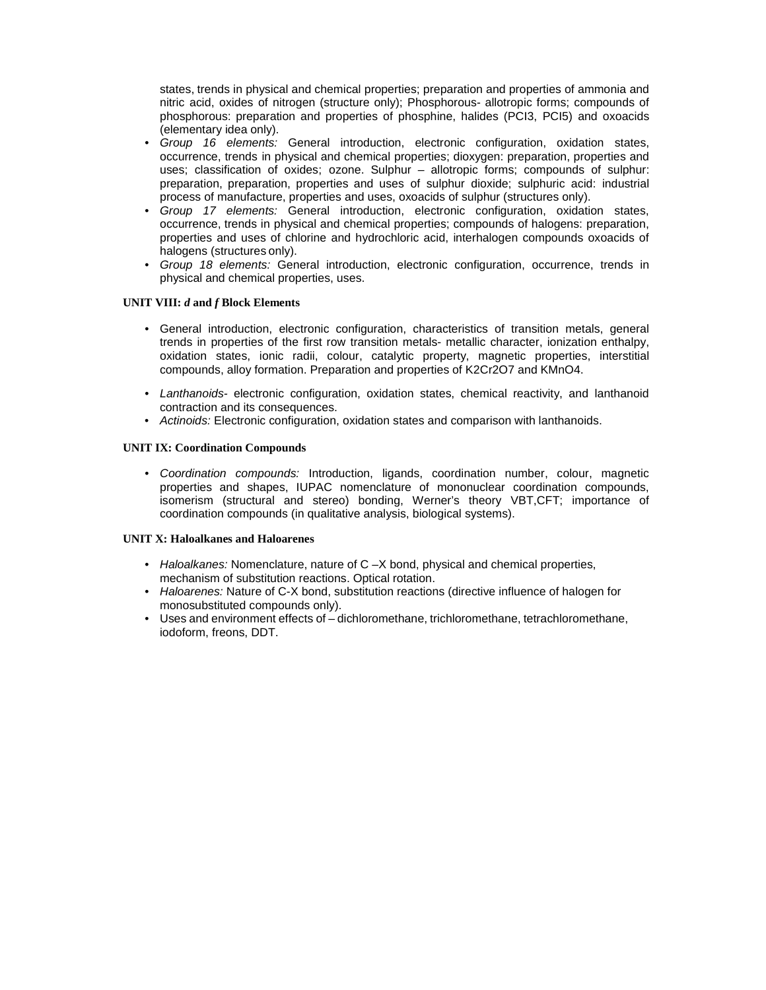states, trends in physical and chemical properties; preparation and properties of ammonia and nitric acid, oxides of nitrogen (structure only); Phosphorous- allotropic forms; compounds of phosphorous: preparation and properties of phosphine, halides (PCI3, PCI5) and oxoacids (elementary idea only).

- *Group 16 elements:* General introduction, electronic configuration, oxidation states, occurrence, trends in physical and chemical properties; dioxygen: preparation, properties and uses; classification of oxides; ozone. Sulphur – allotropic forms; compounds of sulphur: preparation, preparation, properties and uses of sulphur dioxide; sulphuric acid: industrial process of manufacture, properties and uses, oxoacids of sulphur (structures only).
- *Group 17 elements:* General introduction, electronic configuration, oxidation states, occurrence, trends in physical and chemical properties; compounds of halogens: preparation, properties and uses of chlorine and hydrochloric acid, interhalogen compounds oxoacids of halogens (structures only).
- *Group 18 elements:* General introduction, electronic configuration, occurrence, trends in physical and chemical properties, uses.

## **UNIT VIII:** *d* **and** *f* **Block Elements**

- General introduction, electronic configuration, characteristics of transition metals, general trends in properties of the first row transition metals- metallic character, ionization enthalpy, oxidation states, ionic radii, colour, catalytic property, magnetic properties, interstitial compounds, alloy formation. Preparation and properties of K2Cr2O7 and KMnO4.
- *Lanthanoids-* electronic configuration, oxidation states, chemical reactivity, and lanthanoid contraction and its consequences.
- *Actinoids:* Electronic configuration, oxidation states and comparison with lanthanoids.

## **UNIT IX: Coordination Compounds**

• *Coordination compounds:* Introduction, ligands, coordination number, colour, magnetic properties and shapes, IUPAC nomenclature of mononuclear coordination compounds, isomerism (structural and stereo) bonding, Werner's theory VBT,CFT; importance of coordination compounds (in qualitative analysis, biological systems).

#### **UNIT X: Haloalkanes and Haloarenes**

- *Haloalkanes:* Nomenclature, nature of C –X bond, physical and chemical properties, mechanism of substitution reactions. Optical rotation.
- *Haloarenes:* Nature of C-X bond, substitution reactions (directive influence of halogen for monosubstituted compounds only).
- Uses and environment effects of dichloromethane, trichloromethane, tetrachloromethane, iodoform, freons, DDT.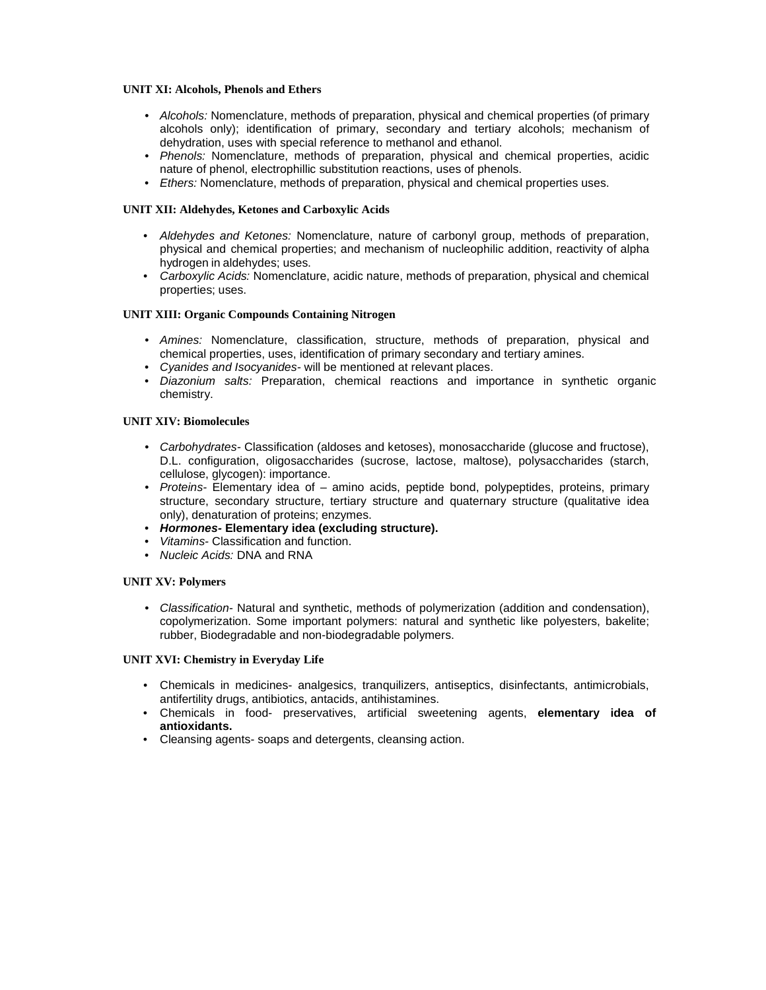#### **UNIT XI: Alcohols, Phenols and Ethers**

- *Alcohols:* Nomenclature, methods of preparation, physical and chemical properties (of primary alcohols only); identification of primary, secondary and tertiary alcohols; mechanism of dehydration, uses with special reference to methanol and ethanol.
- *Phenols:* Nomenclature, methods of preparation, physical and chemical properties, acidic nature of phenol, electrophillic substitution reactions, uses of phenols.
- *Ethers:* Nomenclature, methods of preparation, physical and chemical properties uses.

## **UNIT XII: Aldehydes, Ketones and Carboxylic Acids**

- *Aldehydes and Ketones:* Nomenclature, nature of carbonyl group, methods of preparation, physical and chemical properties; and mechanism of nucleophilic addition, reactivity of alpha hydrogen in aldehydes; uses.
- *Carboxylic Acids:* Nomenclature, acidic nature, methods of preparation, physical and chemical properties; uses.

## **UNIT XIII: Organic Compounds Containing Nitrogen**

- *Amines:* Nomenclature, classification, structure, methods of preparation, physical and chemical properties, uses, identification of primary secondary and tertiary amines.
- *Cyanides and Isocyanides-* will be mentioned at relevant places.
- *Diazonium salts:* Preparation, chemical reactions and importance in synthetic organic chemistry.

## **UNIT XIV: Biomolecules**

- *Carbohydrates-* Classification (aldoses and ketoses), monosaccharide (glucose and fructose), D.L. configuration, oligosaccharides (sucrose, lactose, maltose), polysaccharides (starch, cellulose, glycogen): importance.
- *Proteins-* Elementary idea of amino acids, peptide bond, polypeptides, proteins, primary structure, secondary structure, tertiary structure and quaternary structure (qualitative idea only), denaturation of proteins; enzymes.
- *Hormones-* **Elementary idea (excluding structure).**
- *Vitamins-* Classification and function.
- *Nucleic Acids:* DNA and RNA

#### **UNIT XV: Polymers**

• *Classification-* Natural and synthetic, methods of polymerization (addition and condensation), copolymerization. Some important polymers: natural and synthetic like polyesters, bakelite; rubber, Biodegradable and non-biodegradable polymers.

#### **UNIT XVI: Chemistry in Everyday Life**

- Chemicals in medicines- analgesics, tranquilizers, antiseptics, disinfectants, antimicrobials, antifertility drugs, antibiotics, antacids, antihistamines.
- Chemicals in food- preservatives, artificial sweetening agents, **elementary idea of antioxidants.**
- Cleansing agents- soaps and detergents, cleansing action.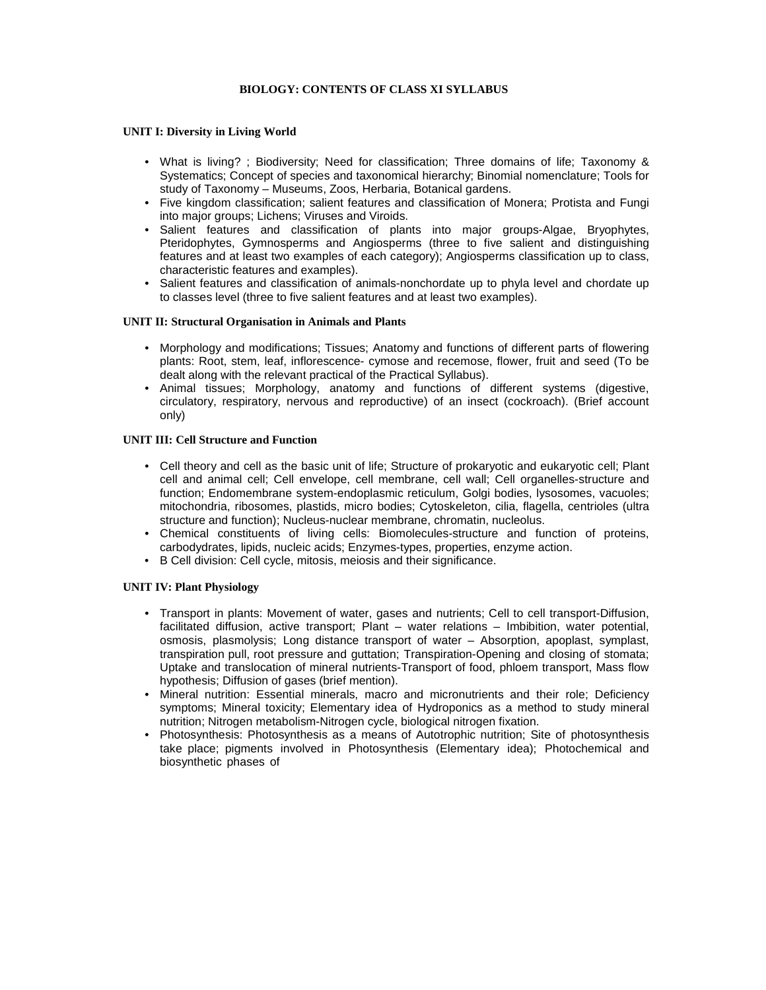# **BIOLOGY: CONTENTS OF CLASS XI SYLLABUS**

#### **UNIT I: Diversity in Living World**

- What is living? ; Biodiversity; Need for classification; Three domains of life; Taxonomy & Systematics; Concept of species and taxonomical hierarchy; Binomial nomenclature; Tools for study of Taxonomy – Museums, Zoos, Herbaria, Botanical gardens.
- Five kingdom classification; salient features and classification of Monera; Protista and Fungi into major groups; Lichens; Viruses and Viroids.
- Salient features and classification of plants into major groups-Algae, Bryophytes, Pteridophytes, Gymnosperms and Angiosperms (three to five salient and distinguishing features and at least two examples of each category); Angiosperms classification up to class, characteristic features and examples).
- Salient features and classification of animals-nonchordate up to phyla level and chordate up to classes level (three to five salient features and at least two examples).

#### **UNIT II: Structural Organisation in Animals and Plants**

- Morphology and modifications; Tissues; Anatomy and functions of different parts of flowering plants: Root, stem, leaf, inflorescence- cymose and recemose, flower, fruit and seed (To be dealt along with the relevant practical of the Practical Syllabus).
- Animal tissues; Morphology, anatomy and functions of different systems (digestive, circulatory, respiratory, nervous and reproductive) of an insect (cockroach). (Brief account only)

#### **UNIT III: Cell Structure and Function**

- Cell theory and cell as the basic unit of life; Structure of prokaryotic and eukaryotic cell; Plant cell and animal cell; Cell envelope, cell membrane, cell wall; Cell organelles-structure and function; Endomembrane system-endoplasmic reticulum, Golgi bodies, lysosomes, vacuoles; mitochondria, ribosomes, plastids, micro bodies; Cytoskeleton, cilia, flagella, centrioles (ultra structure and function); Nucleus-nuclear membrane, chromatin, nucleolus.
- Chemical constituents of living cells: Biomolecules-structure and function of proteins, carbodydrates, lipids, nucleic acids; Enzymes-types, properties, enzyme action.
- B Cell division: Cell cycle, mitosis, meiosis and their significance.

#### **UNIT IV: Plant Physiology**

- Transport in plants: Movement of water, gases and nutrients; Cell to cell transport-Diffusion, facilitated diffusion, active transport; Plant – water relations – Imbibition, water potential, osmosis, plasmolysis; Long distance transport of water – Absorption, apoplast, symplast, transpiration pull, root pressure and guttation; Transpiration-Opening and closing of stomata; Uptake and translocation of mineral nutrients-Transport of food, phloem transport, Mass flow hypothesis; Diffusion of gases (brief mention).
- Mineral nutrition: Essential minerals, macro and micronutrients and their role; Deficiency symptoms; Mineral toxicity; Elementary idea of Hydroponics as a method to study mineral nutrition; Nitrogen metabolism-Nitrogen cycle, biological nitrogen fixation.
- Photosynthesis: Photosynthesis as a means of Autotrophic nutrition; Site of photosynthesis take place; pigments involved in Photosynthesis (Elementary idea); Photochemical and biosynthetic phases of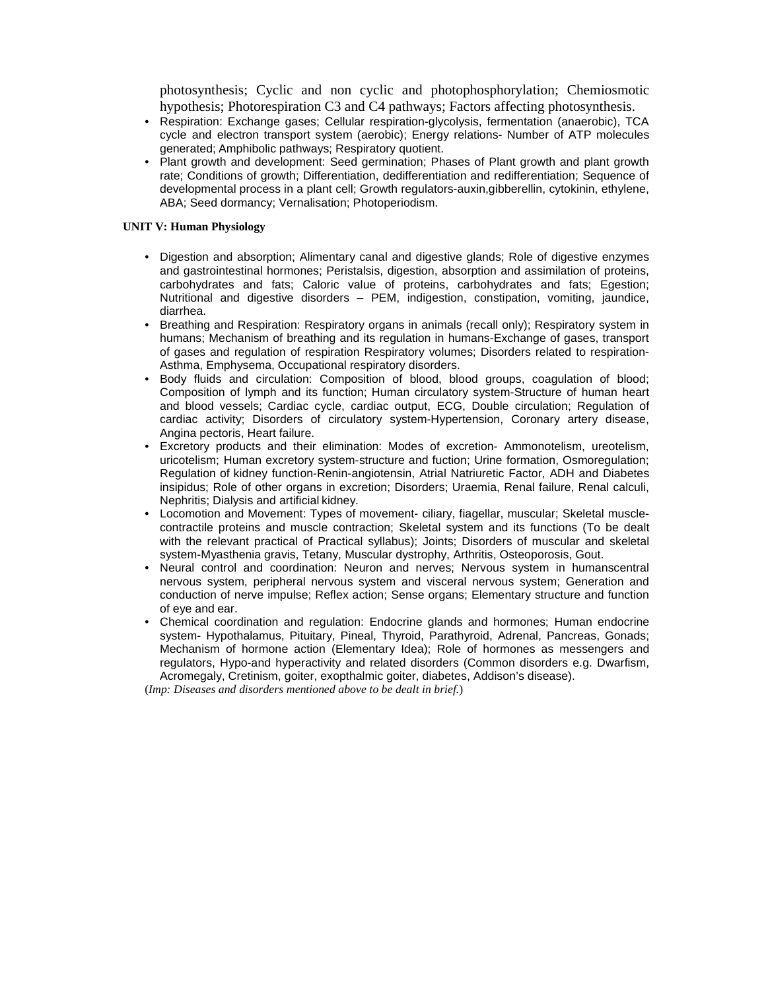photosynthesis; Cyclic and non cyclic and photophosphorylation; Chemiosmotic hypothesis; Photorespiration C3 and C4 pathways; Factors affecting photosynthesis.

- Respiration: Exchange gases; Cellular respiration-glycolysis, fermentation (anaerobic), TCA cycle and electron transport system (aerobic); Energy relations- Number of ATP molecules generated; Amphibolic pathways; Respiratory quotient.
- Plant growth and development: Seed germination; Phases of Plant growth and plant growth rate; Conditions of growth; Differentiation, dedifferentiation and redifferentiation; Sequence of developmental process in a plant cell; Growth regulators-auxin,gibberellin, cytokinin, ethylene, ABA; Seed dormancy; Vernalisation; Photoperiodism.

#### **UNIT V: Human Physiology**

- Digestion and absorption; Alimentary canal and digestive glands; Role of digestive enzymes and gastrointestinal hormones; Peristalsis, digestion, absorption and assimilation of proteins, carbohydrates and fats; Caloric value of proteins, carbohydrates and fats; Egestion; Nutritional and digestive disorders – PEM, indigestion, constipation, vomiting, jaundice, diarrhea.
- Breathing and Respiration: Respiratory organs in animals (recall only); Respiratory system in humans; Mechanism of breathing and its regulation in humans-Exchange of gases, transport of gases and regulation of respiration Respiratory volumes; Disorders related to respiration-Asthma, Emphysema, Occupational respiratory disorders.
- Body fluids and circulation: Composition of blood, blood groups, coagulation of blood; Composition of lymph and its function; Human circulatory system-Structure of human heart and blood vessels; Cardiac cycle, cardiac output, ECG, Double circulation; Regulation of cardiac activity; Disorders of circulatory system-Hypertension, Coronary artery disease, Angina pectoris, Heart failure.
- Excretory products and their elimination: Modes of excretion- Ammonotelism, ureotelism, uricotelism; Human excretory system-structure and fuction; Urine formation, Osmoregulation; Regulation of kidney function-Renin-angiotensin, Atrial Natriuretic Factor, ADH and Diabetes insipidus; Role of other organs in excretion; Disorders; Uraemia, Renal failure, Renal calculi, Nephritis; Dialysis and artificial kidney.
- Locomotion and Movement: Types of movement- ciliary, fiagellar, muscular; Skeletal musclecontractile proteins and muscle contraction; Skeletal system and its functions (To be dealt with the relevant practical of Practical syllabus); Joints; Disorders of muscular and skeletal system-Myasthenia gravis, Tetany, Muscular dystrophy, Arthritis, Osteoporosis, Gout.
- Neural control and coordination: Neuron and nerves; Nervous system in humanscentral nervous system, peripheral nervous system and visceral nervous system; Generation and conduction of nerve impulse; Reflex action; Sense organs; Elementary structure and function of eye and ear.
- Chemical coordination and regulation: Endocrine glands and hormones; Human endocrine system- Hypothalamus, Pituitary, Pineal, Thyroid, Parathyroid, Adrenal, Pancreas, Gonads; Mechanism of hormone action (Elementary Idea); Role of hormones as messengers and regulators, Hypo-and hyperactivity and related disorders (Common disorders e.g. Dwarfism, Acromegaly, Cretinism, goiter, exopthalmic goiter, diabetes, Addison's disease).

(*Imp: Diseases and disorders mentioned above to be dealt in brief.*)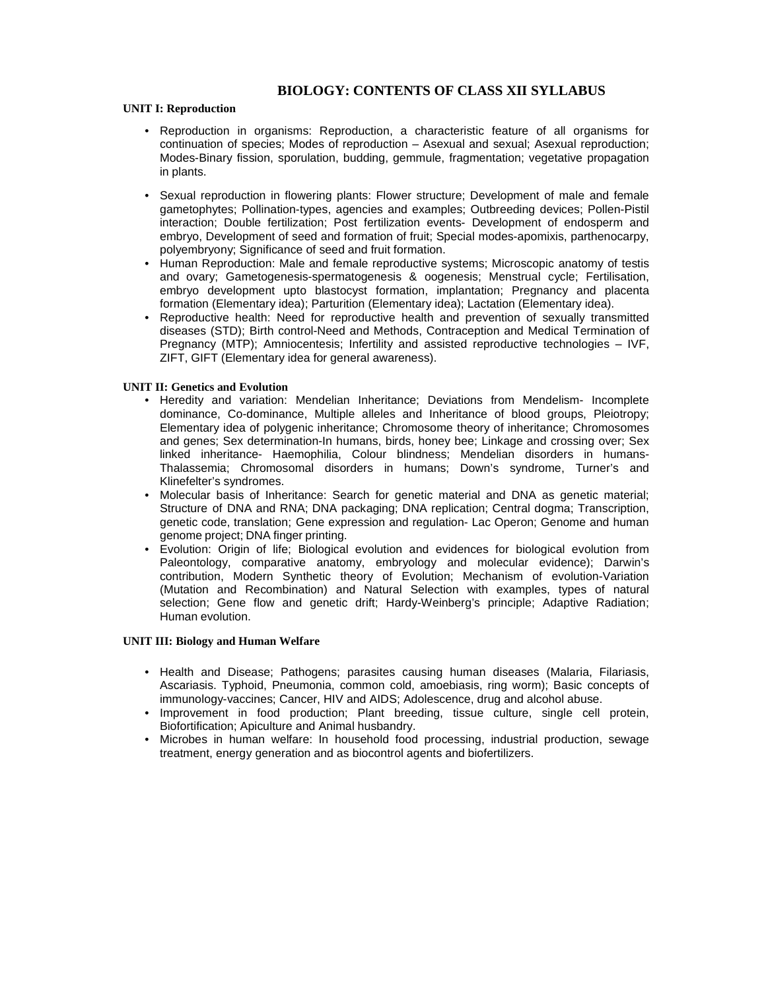# **BIOLOGY: CONTENTS OF CLASS XII SYLLABUS**

#### **UNIT I: Reproduction**

- Reproduction in organisms: Reproduction, a characteristic feature of all organisms for continuation of species; Modes of reproduction – Asexual and sexual; Asexual reproduction; Modes-Binary fission, sporulation, budding, gemmule, fragmentation; vegetative propagation in plants.
- Sexual reproduction in flowering plants: Flower structure; Development of male and female gametophytes; Pollination-types, agencies and examples; Outbreeding devices; Pollen-Pistil interaction; Double fertilization; Post fertilization events- Development of endosperm and embryo, Development of seed and formation of fruit; Special modes-apomixis, parthenocarpy, polyembryony; Significance of seed and fruit formation.
- Human Reproduction: Male and female reproductive systems; Microscopic anatomy of testis and ovary; Gametogenesis-spermatogenesis & oogenesis; Menstrual cycle; Fertilisation, embryo development upto blastocyst formation, implantation; Pregnancy and placenta formation (Elementary idea); Parturition (Elementary idea); Lactation (Elementary idea).
- Reproductive health: Need for reproductive health and prevention of sexually transmitted diseases (STD); Birth control-Need and Methods, Contraception and Medical Termination of Pregnancy (MTP); Amniocentesis; Infertility and assisted reproductive technologies – IVF, ZIFT, GIFT (Elementary idea for general awareness).

#### **UNIT II: Genetics and Evolution**

- Heredity and variation: Mendelian Inheritance; Deviations from Mendelism- Incomplete dominance, Co-dominance, Multiple alleles and Inheritance of blood groups, Pleiotropy; Elementary idea of polygenic inheritance; Chromosome theory of inheritance; Chromosomes and genes; Sex determination-In humans, birds, honey bee; Linkage and crossing over; Sex linked inheritance- Haemophilia, Colour blindness; Mendelian disorders in humans-Thalassemia; Chromosomal disorders in humans; Down's syndrome, Turner's and Klinefelter's syndromes.
- Molecular basis of Inheritance: Search for genetic material and DNA as genetic material; Structure of DNA and RNA; DNA packaging; DNA replication; Central dogma; Transcription, genetic code, translation; Gene expression and regulation- Lac Operon; Genome and human genome project; DNA finger printing.
- Evolution: Origin of life; Biological evolution and evidences for biological evolution from Paleontology, comparative anatomy, embryology and molecular evidence); Darwin's contribution, Modern Synthetic theory of Evolution; Mechanism of evolution-Variation (Mutation and Recombination) and Natural Selection with examples, types of natural selection; Gene flow and genetic drift; Hardy-Weinberg's principle; Adaptive Radiation; Human evolution.

### **UNIT III: Biology and Human Welfare**

- Health and Disease; Pathogens; parasites causing human diseases (Malaria, Filariasis, Ascariasis. Typhoid, Pneumonia, common cold, amoebiasis, ring worm); Basic concepts of immunology-vaccines; Cancer, HIV and AIDS; Adolescence, drug and alcohol abuse.
- Improvement in food production; Plant breeding, tissue culture, single cell protein, Biofortification; Apiculture and Animal husbandry.
- Microbes in human welfare: In household food processing, industrial production, sewage treatment, energy generation and as biocontrol agents and biofertilizers.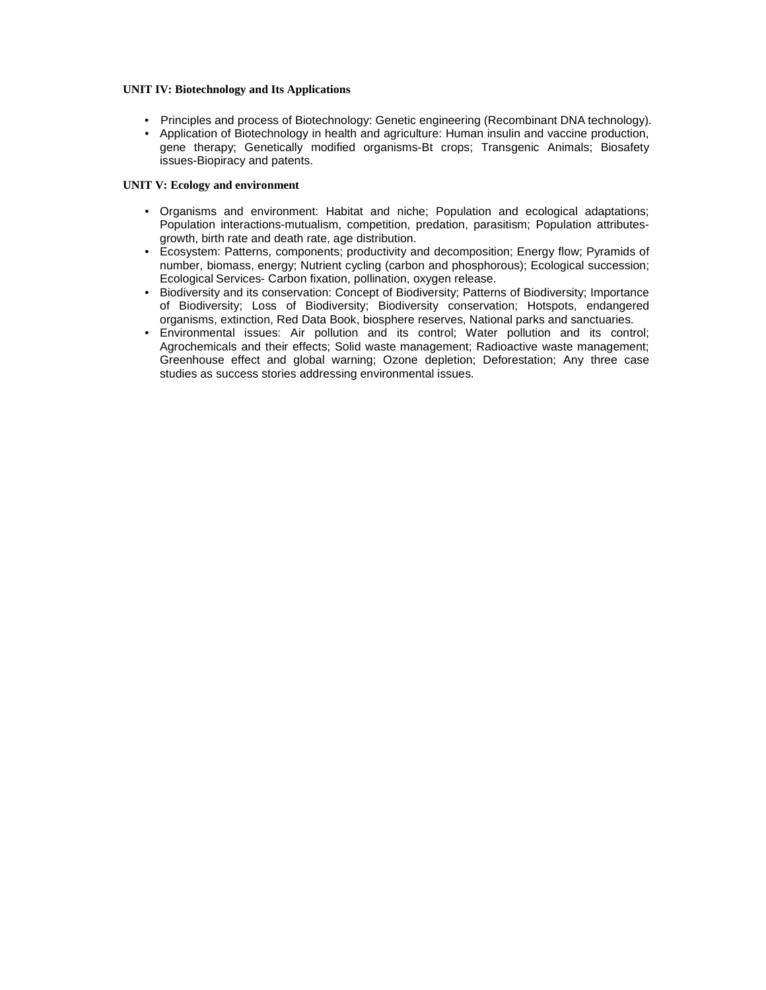### **UNIT IV: Biotechnology and Its Applications**

- Principles and process of Biotechnology: Genetic engineering (Recombinant DNA technology).
- Application of Biotechnology in health and agriculture: Human insulin and vaccine production, gene therapy; Genetically modified organisms-Bt crops; Transgenic Animals; Biosafety issues-Biopiracy and patents.

# **UNIT V: Ecology and environment**

- Organisms and environment: Habitat and niche; Population and ecological adaptations; Population interactions-mutualism, competition, predation, parasitism; Population attributesgrowth, birth rate and death rate, age distribution.
- Ecosystem: Patterns, components; productivity and decomposition; Energy flow; Pyramids of number, biomass, energy; Nutrient cycling (carbon and phosphorous); Ecological succession; Ecological Services- Carbon fixation, pollination, oxygen release.
- Biodiversity and its conservation: Concept of Biodiversity; Patterns of Biodiversity; Importance of Biodiversity; Loss of Biodiversity; Biodiversity conservation; Hotspots, endangered organisms, extinction, Red Data Book, biosphere reserves, National parks and sanctuaries.
- Environmental issues: Air pollution and its control; Water pollution and its control; Agrochemicals and their effects; Solid waste management; Radioactive waste management; Greenhouse effect and global warning; Ozone depletion; Deforestation; Any three case studies as success stories addressing environmental issues.